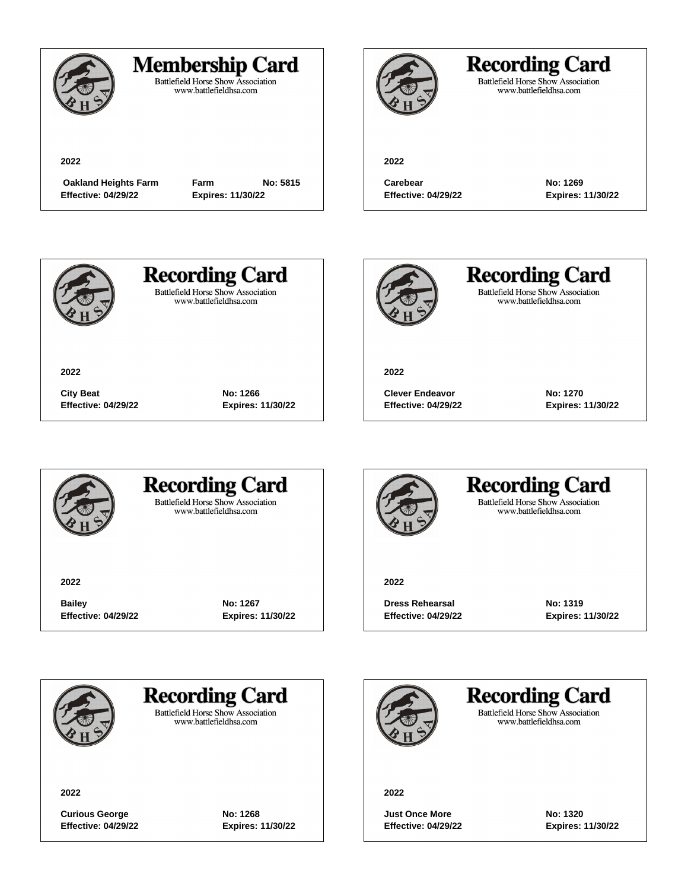

### **Membership Card**

Battlefield Horse Show Association<br>www.battlefieldhsa.com

**2022**

 **Oakland Heights Farm Farm No: 5815 Effective: 04/29/22 Expires: 11/30/22**



## **Recording Card**

Battlefield Horse Show Association<br>www.battlefieldhsa.com

**2022**

**Carebear No: 1269 Effective: 04/29/22 Expires: 11/30/22**



**2022**

**Recording Card Battlefield Horse Show Association** 

www.battlefieldhsa.com

**Recording Card** Battlefield Horse Show Association<br>www.battlefieldhsa.com

**2022**

**Clever Endeavor No: 1270 Effective: 04/29/22 Expires: 11/30/22**



### **Recording Card Battlefield Horse Show Association**

**City Beat No: 1266 Effective: 04/29/22 Expires: 11/30/22**

www.battlefieldhsa.com

**2022**

**Bailey No: 1267 Effective: 04/29/22 Expires: 11/30/22**



#### **Recording Card Battlefield Horse Show Association** www.battlefieldhsa.com

**2022**

**Dress Rehearsal No: 1319 Effective: 04/29/22 Expires: 11/30/22**

**Recording Card** 

**Battlefield Horse Show Association** www.battlefieldhsa.com

**2022**

**Curious George No: 1268 Effective: 04/29/22 Expires: 11/30/22**

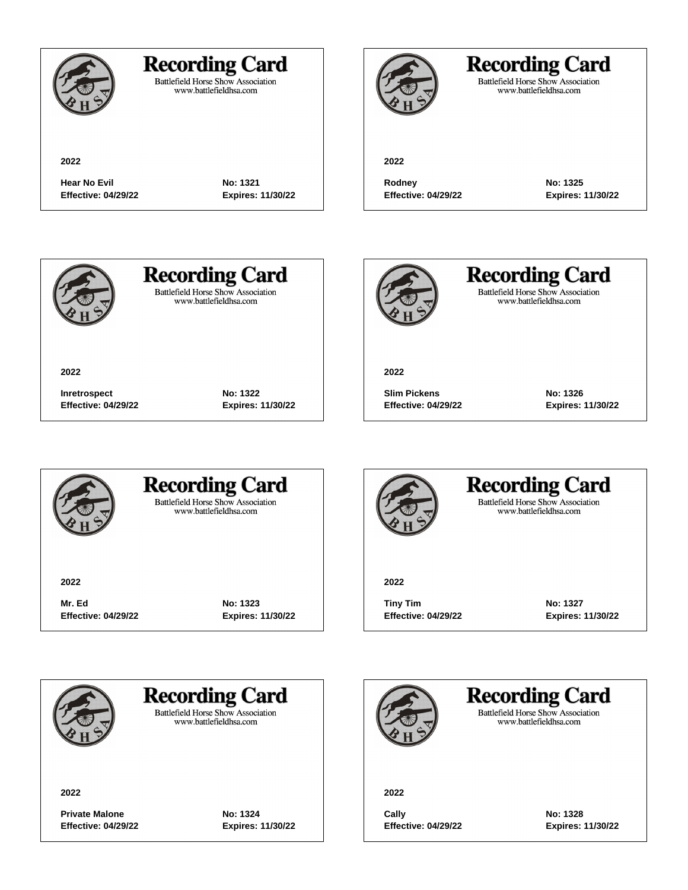

Battlefield Horse Show Association<br>www.battlefieldhsa.com

**2022**

## **Recording Card**

Battlefield Horse Show Association<br>www.battlefieldhsa.com

**2022**

**Hear No Evil No: 1321 Effective: 04/29/22 Expires: 11/30/22**

**Rodney No: 1325**

**Effective: 04/29/22 Expires: 11/30/22**



**2022**

**Recording Card Battlefield Horse Show Association** 

www.battlefieldhsa.com



**Recording Card** Battlefield Horse Show Association<br>www.battlefieldhsa.com

**2022**

**Slim Pickens No: 1326 Effective: 04/29/22 Expires: 11/30/22**



### **Recording Card Battlefield Horse Show Association**

**Inretrospect No: 1322 Effective: 04/29/22 Expires: 11/30/22**

www.battlefieldhsa.com

**2022**

**Mr. Ed No: 1323 Effective: 04/29/22 Expires: 11/30/22**



#### **Recording Card Battlefield Horse Show Association** www.battlefieldhsa.com

**2022**

**Tiny Tim No: 1327 Effective: 04/29/22 Expires: 11/30/22**



**Recording Card** 

**Battlefield Horse Show Association** www.battlefieldhsa.com

**2022**

**Private Malone No: 1324 Effective: 04/29/22 Expires: 11/30/22**

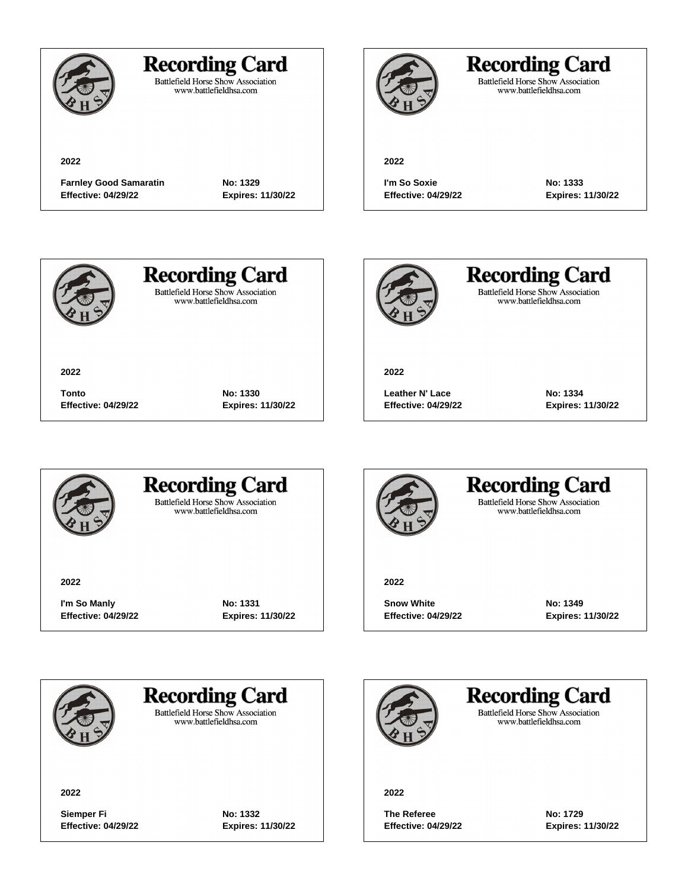

Battlefield Horse Show Association<br>www.battlefieldhsa.com

**2022**

**Farnley Good Samaratin No: 1329 Effective: 04/29/22 Expires: 11/30/22**



## **Recording Card**

Battlefield Horse Show Association<br>www.battlefieldhsa.com

#### **2022**

**I'm So Soxie No: 1333 Effective: 04/29/22 Expires: 11/30/22**



**2022**

# **Recording Card**

**Battlefield Horse Show Association** www.battlefieldhsa.com

**Tonto No: 1330**

**Effective: 04/29/22 Expires: 11/30/22**



**Recording Card** Battlefield Horse Show Association<br>www.battlefieldhsa.com

**2022**

**Leather N' Lace No: 1334 Effective: 04/29/22 Expires: 11/30/22**



### **Recording Card Battlefield Horse Show Association**

www.battlefieldhsa.com

**2022**

**I'm So Manly No: 1331 Effective: 04/29/22 Expires: 11/30/22**



#### **Recording Card Battlefield Horse Show Association** www.battlefieldhsa.com

**2022**

**Snow White No: 1349 Effective: 04/29/22 Expires: 11/30/22**



### **Recording Card**

**Battlefield Horse Show Association** www.battlefieldhsa.com

**2022**

**Siemper Fi No: 1332 Effective: 04/29/22 Expires: 11/30/22**

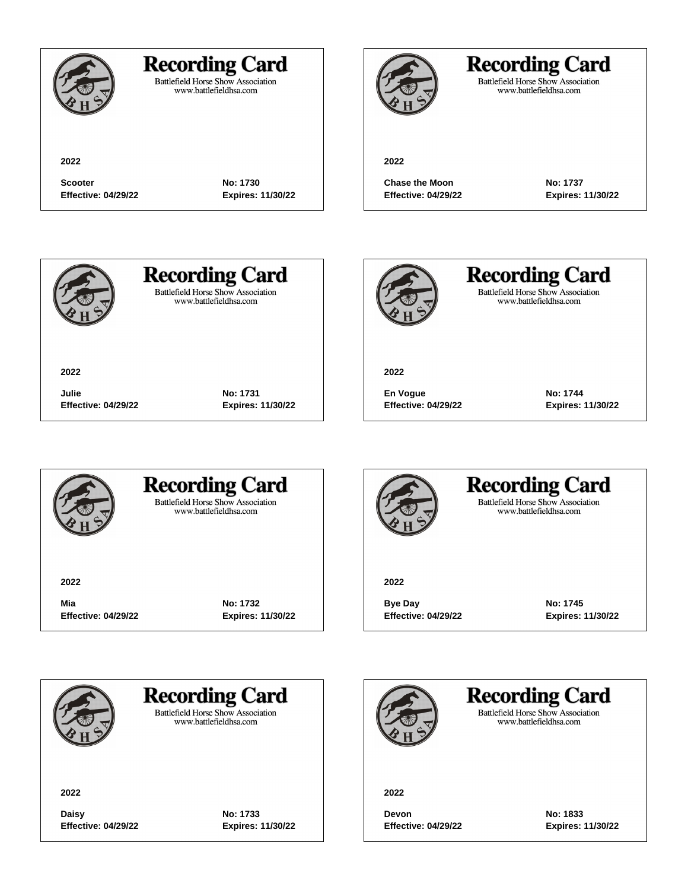### **Recording Card**

**Scooter No: 1730 Effective: 04/29/22 Expires: 11/30/22**

**Julie No: 1731**

**Effective: 04/29/22 Expires: 11/30/22**

Battlefield Horse Show Association<br>www.battlefieldhsa.com

## **Recording Card**

Battlefield Horse Show Association<br>www.battlefieldhsa.com

#### **2022**

**Chase the Moon No: 1737 Effective: 04/29/22 Expires: 11/30/22**



**2022**

# **Recording Card**

**Battlefield Horse Show Association** www.battlefieldhsa.com



**Recording Card** Battlefield Horse Show Association<br>www.battlefieldhsa.com

**2022**

**En Vogue No: 1744 Effective: 04/29/22 Expires: 11/30/22**



### **Recording Card Battlefield Horse Show Association**

www.battlefieldhsa.com

**2022**

**Mia No: 1732 Effective: 04/29/22 Expires: 11/30/22**



#### **Recording Card Battlefield Horse Show Association** www.battlefieldhsa.com

**2022**

**Bye Day No: 1745 Effective: 04/29/22 Expires: 11/30/22**



### **Recording Card**

**Battlefield Horse Show Association** www.battlefieldhsa.com

**2022**

**Daisy No: 1733 Effective: 04/29/22 Expires: 11/30/22**

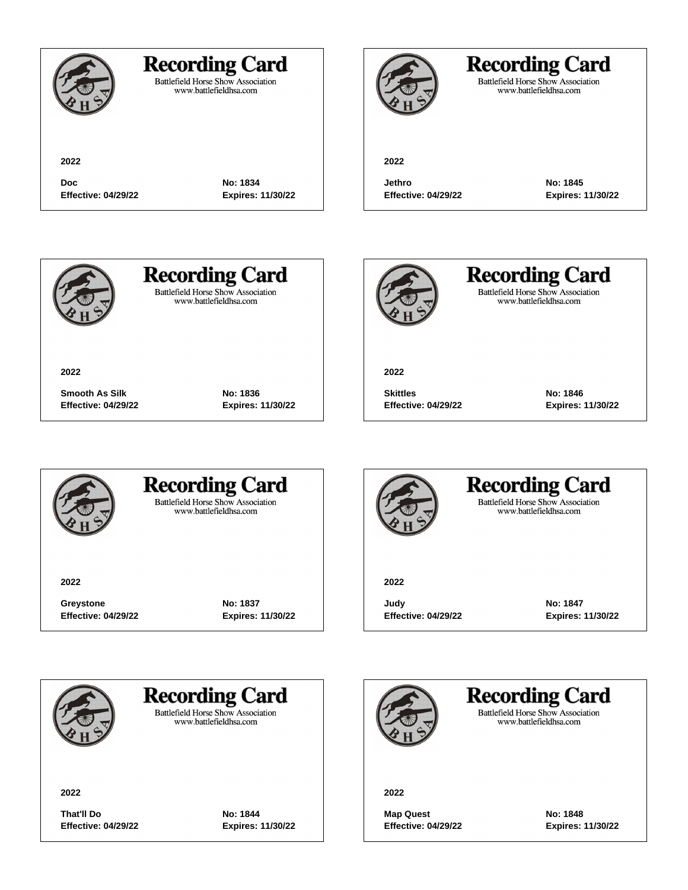|                                          | <b>Recording Card</b><br><b>Battlefield Horse Show Association</b><br>www.battlefieldhsa.com |                               |
|------------------------------------------|----------------------------------------------------------------------------------------------|-------------------------------|
| 2022                                     |                                                                                              | 2022                          |
| <b>Doc</b><br><b>Effective: 04/29/22</b> | No: 1834<br><b>Expires: 11/30/22</b>                                                         | Jethro<br><b>Effective: 0</b> |

**Jethro No: 1845 Effective: 04/29/22 Expires: 11/30/22**



**2022**

**Recording Card** 

Battlefield Horse Show Association<br>www.battlefieldhsa.com



**Recording Card** Battlefield Horse Show Association<br>www.battlefieldhsa.com

**Recording Card** Battlefield Horse Show Association<br>www.battlefieldhsa.com

**2022**

**Skittles No: 1846 Effective: 04/29/22 Expires: 11/30/22**



#### **Recording Card Battlefield Horse Show Association**

**Smooth As Silk No: 1836 Effective: 04/29/22 Expires: 11/30/22**

www.battlefieldhsa.com

**2022**

**Greystone No: 1837 Effective: 04/29/22 Expires: 11/30/22**



### **Recording Card Battlefield Horse Show Association** www.battlefieldhsa.com

**2022**

**Judy No: 1847 Effective: 04/29/22 Expires: 11/30/22**



**Recording Card** 

**Battlefield Horse Show Association** www.battlefieldhsa.com

**2022**

**That'll Do No: 1844 Effective: 04/29/22 Expires: 11/30/22**

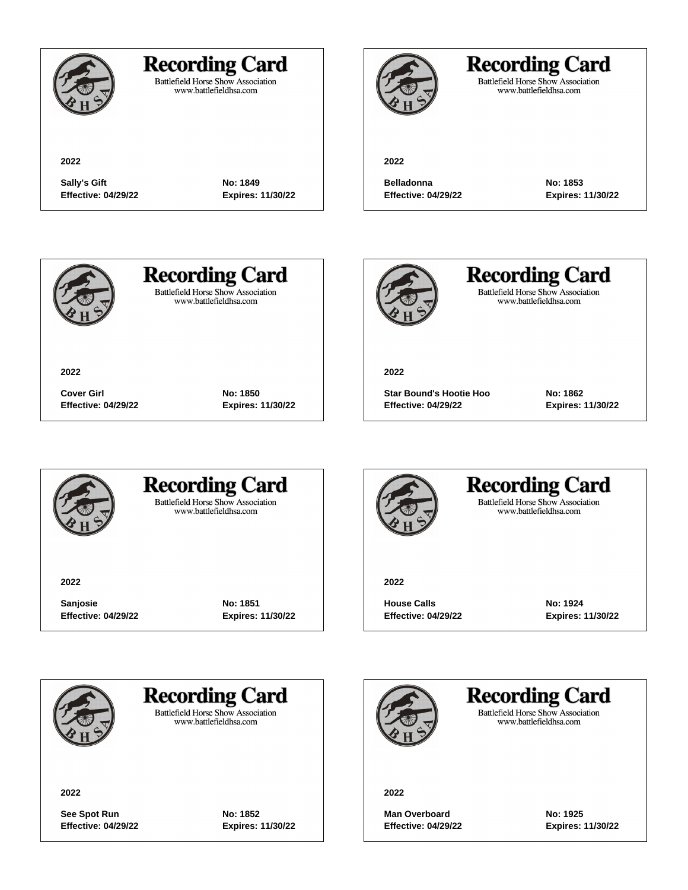

### **Recording Card**

**Sally's Gift No: 1849 Effective: 04/29/22 Expires: 11/30/22**

**Cover Girl No: 1850 Effective: 04/29/22 Expires: 11/30/22**

Battlefield Horse Show Association<br>www.battlefieldhsa.com

**2022**

## **Recording Card**

Battlefield Horse Show Association<br>www.battlefieldhsa.com

**Belladonna No: 1853 Effective: 04/29/22 Expires: 11/30/22**



**2022**

## **Recording Card**

**Battlefield Horse Show Association** www.battlefieldhsa.com



**Recording Card** Battlefield Horse Show Association<br>www.battlefieldhsa.com

**2022**

**Star Bound's Hootie Hoo No: 1862 Effective: 04/29/22 Expires: 11/30/22**



### **Recording Card Battlefield Horse Show Association**

www.battlefieldhsa.com

**2022**

**Sanjosie No: 1851 Effective: 04/29/22 Expires: 11/30/22**



#### **Recording Card Battlefield Horse Show Association** www.battlefieldhsa.com

**2022**

**House Calls No: 1924 Effective: 04/29/22 Expires: 11/30/22**



**Recording Card** 

**Battlefield Horse Show Association** www.battlefieldhsa.com

**2022**

See Spot Run **No: 1852 Effective: 04/29/22 Expires: 11/30/22**

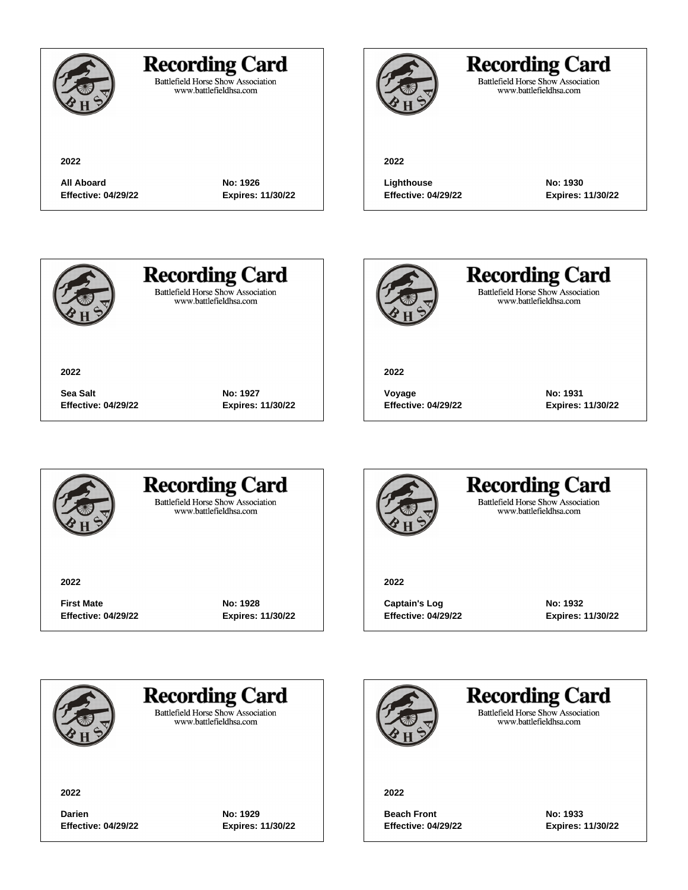

### **Recording Card**

**All Aboard No: 1926 Effective: 04/29/22 Expires: 11/30/22**

**Sea Salt No: 1927**

**Effective: 04/29/22 Expires: 11/30/22**

Battlefield Horse Show Association<br>www.battlefieldhsa.com

## **Recording Card**

Battlefield Horse Show Association<br>www.battlefieldhsa.com

#### **2022**

**Lighthouse No: 1930 Effective: 04/29/22 Expires: 11/30/22**



**2022**

## **Recording Card**

**Battlefield Horse Show Association** www.battlefieldhsa.com



**Recording Card** Battlefield Horse Show Association<br>www.battlefieldhsa.com

**2022**

**Voyage No: 1931 Effective: 04/29/22 Expires: 11/30/22**



#### **Recording Card Battlefield Horse Show Association**

www.battlefieldhsa.com

**2022**

**First Mate No: 1928 Effective: 04/29/22 Expires: 11/30/22**



#### **Recording Card Battlefield Horse Show Association** www.battlefieldhsa.com

**2022**

Captain's Log No: 1932 **Effective: 04/29/22 Expires: 11/30/22**



### **Recording Card**

**Battlefield Horse Show Association** www.battlefieldhsa.com

**2022**

**Darien No: 1929 Effective: 04/29/22 Expires: 11/30/22**

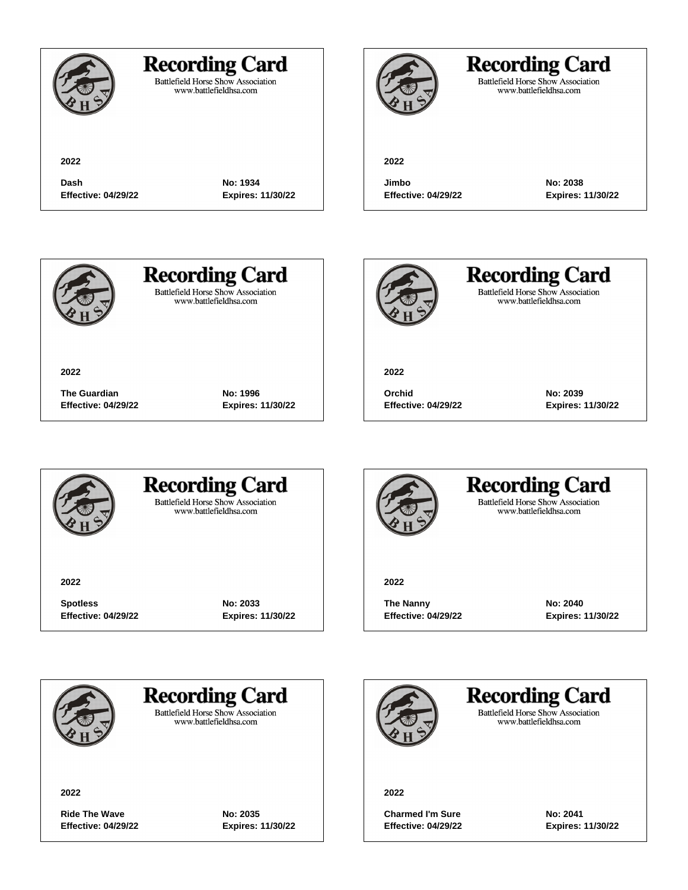|                                    | <b>Recording Card</b><br><b>Battlefield Horse Show Association</b><br>www.battlefieldhsa.com |                           |
|------------------------------------|----------------------------------------------------------------------------------------------|---------------------------|
| 2022                               |                                                                                              | 2022                      |
| Dash<br><b>Effective: 04/29/22</b> | No: 1934<br><b>Expires: 11/30/22</b>                                                         | Jimbo<br><b>Effective</b> |



Battlefield Horse Show Association<br>www.battlefieldhsa.com

**Jimbo No: 2038 Effective: 04/29/22 Expires: 11/30/22**



**2022**

**Recording Card** Battlefield Horse Show Association<br>www.battlefieldhsa.com



**Recording Card** Battlefield Horse Show Association<br>www.battlefieldhsa.com

**2022**

**Orchid No: 2039 Effective: 04/29/22 Expires: 11/30/22**



### **Recording Card Battlefield Horse Show Association**

**The Guardian No: 1996** 

**Effective: 04/29/22 Expires: 11/30/22**

www.battlefieldhsa.com

**2022**

**Spotless No: 2033 Effective: 04/29/22 Expires: 11/30/22**



#### **Recording Card Battlefield Horse Show Association** www.battlefieldhsa.com

**2022**

**The Nanny No: 2040 Effective: 04/29/22 Expires: 11/30/22**



**Recording Card** 

**Battlefield Horse Show Association** www.battlefieldhsa.com

**2022**

Ride The Wave **No: 2035 Effective: 04/29/22 Expires: 11/30/22**

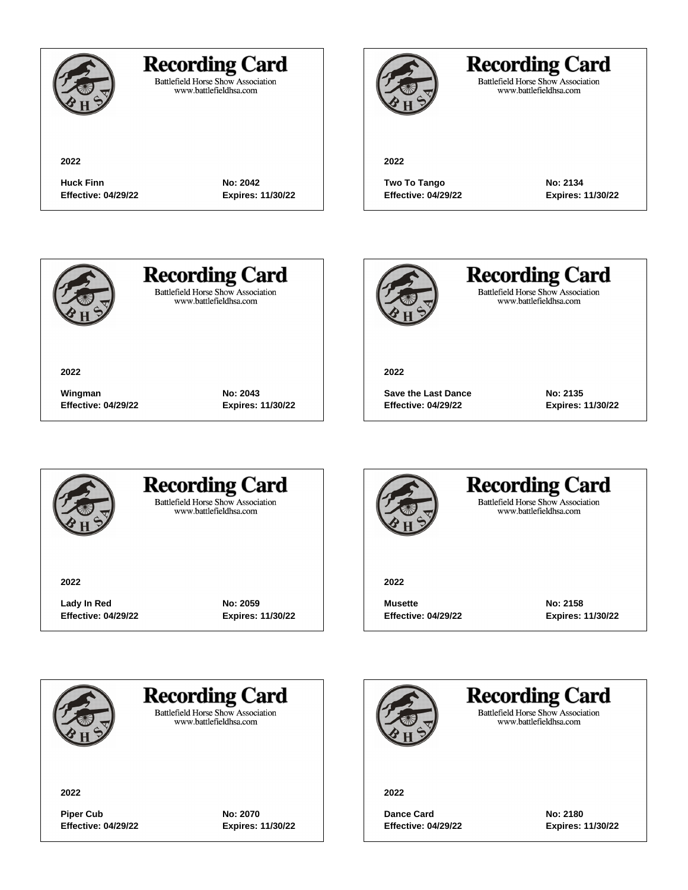

### **Recording Card**

**Huck Finn No: 2042 Effective: 04/29/22 Expires: 11/30/22**

**Wingman No: 2043 Effective: 04/29/22 Expires: 11/30/22**

Battlefield Horse Show Association<br>www.battlefieldhsa.com

## **Recording Card**

Battlefield Horse Show Association<br>www.battlefieldhsa.com

#### **2022**

**Two To Tango No: 2134 Effective: 04/29/22 Expires: 11/30/22**



**2022**

## **Recording Card**

**Battlefield Horse Show Association** www.battlefieldhsa.com



**Recording Card** Battlefield Horse Show Association<br>www.battlefieldhsa.com

**2022**

**Save the Last Dance No: 2135 Effective: 04/29/22 Expires: 11/30/22**



### **Recording Card Battlefield Horse Show Association**

www.battlefieldhsa.com

**2022**

**Lady In Red No: 2059 Effective: 04/29/22 Expires: 11/30/22**



#### **Recording Card Battlefield Horse Show Association** www.battlefieldhsa.com

**2022**

**Musette No: 2158 Effective: 04/29/22 Expires: 11/30/22**



**Recording Card** 

**Battlefield Horse Show Association** www.battlefieldhsa.com

**2022**

**Piper Cub No: 2070 Effective: 04/29/22 Expires: 11/30/22**

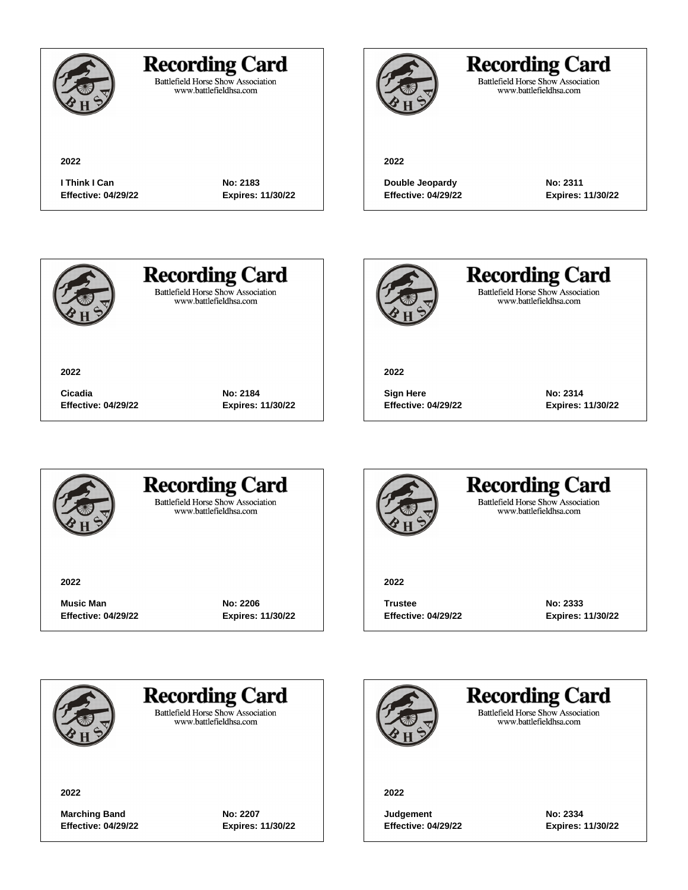

### **Recording Card**

**I Think I Can No: 2183 Effective: 04/29/22 Expires: 11/30/22**

**Cicadia No: 2184**

**Effective: 04/29/22 Expires: 11/30/22**

Battlefield Horse Show Association<br>www.battlefieldhsa.com

## **Recording Card**

Battlefield Horse Show Association<br>www.battlefieldhsa.com

#### **2022**

**Double Jeopardy No: 2311 Effective: 04/29/22 Expires: 11/30/22**



**2022**

## **Recording Card**

**Battlefield Horse Show Association** www.battlefieldhsa.com



**Recording Card** Battlefield Horse Show Association<br>www.battlefieldhsa.com

**2022**

**Sign Here No: 2314 Effective: 04/29/22 Expires: 11/30/22**



### **Recording Card Battlefield Horse Show Association**

www.battlefieldhsa.com

**2022**

**Music Man No: 2206 Effective: 04/29/22 Expires: 11/30/22**



### **Recording Card Battlefield Horse Show Association** www.battlefieldhsa.com

**2022**

**Trustee No: 2333 Effective: 04/29/22 Expires: 11/30/22**



**Recording Card** 

**Battlefield Horse Show Association** www.battlefieldhsa.com

**2022**

**Marching Band No: 2207 Effective: 04/29/22 Expires: 11/30/22**

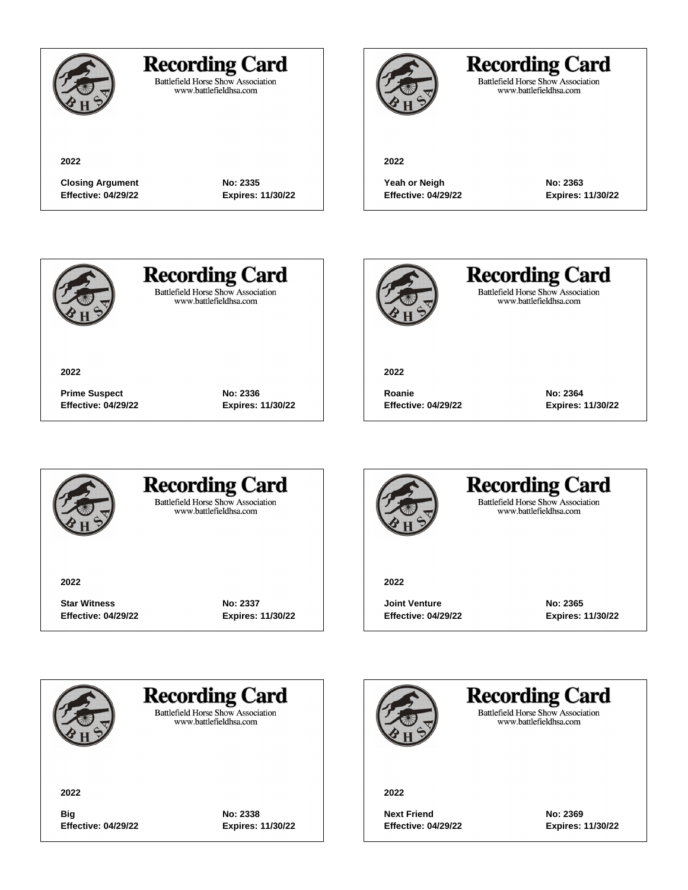

### **Recording Card**

Battlefield Horse Show Association<br>www.battlefieldhsa.com

**Closing Argument No: 2335 Effective: 04/29/22 Expires: 11/30/22**

**Prime Suspect No: 2336 Effective: 04/29/22 Expires: 11/30/22**

## **Recording Card**

Battlefield Horse Show Association<br>www.battlefieldhsa.com

**2022**

**Yeah or Neigh No: 2363 Effective: 04/29/22 Expires: 11/30/22**



**2022**

## **Recording Card**

**Battlefield Horse Show Association** www.battlefieldhsa.com



**Recording Card** Battlefield Horse Show Association<br>www.battlefieldhsa.com

**2022**

**Roanie No: 2364 Effective: 04/29/22 Expires: 11/30/22**



### **Recording Card Battlefield Horse Show Association**

www.battlefieldhsa.com

**2022**

**Star Witness No: 2337 Effective: 04/29/22 Expires: 11/30/22**



#### **Recording Card Battlefield Horse Show Association** www.battlefieldhsa.com

**2022**

**Joint Venture No: 2365 Effective: 04/29/22 Expires: 11/30/22**



**Recording Card** 

**Battlefield Horse Show Association** www.battlefieldhsa.com

**2022**

**Big No: 2338 Effective: 04/29/22 Expires: 11/30/22**

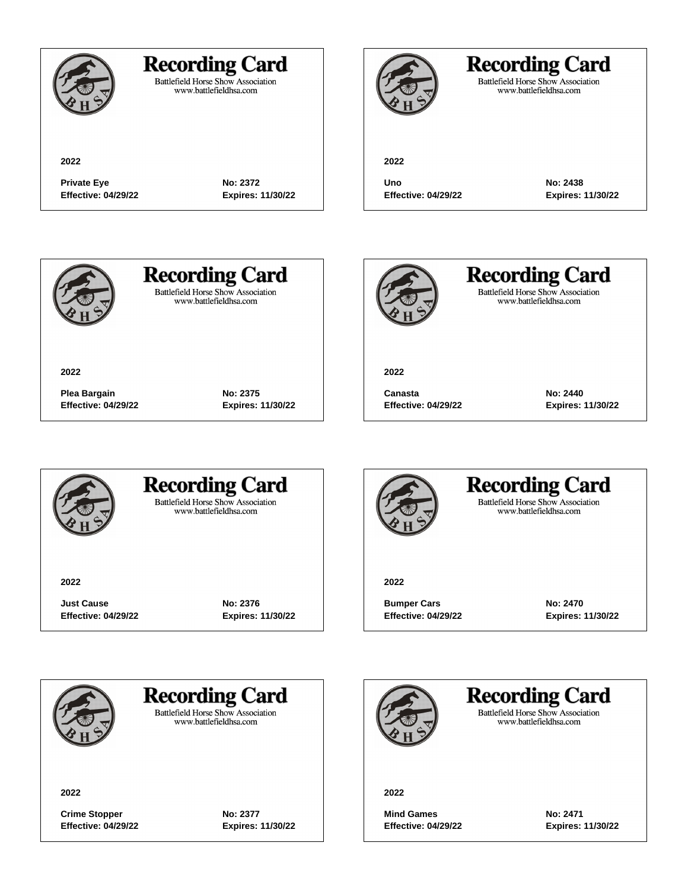

Battlefield Horse Show Association<br>www.battlefieldhsa.com



**2022**

## **Recording Card**

Battlefield Horse Show Association<br>www.battlefieldhsa.com

**2022**

**Private Eye No: 2372 Effective: 04/29/22 Expires: 11/30/22**

**Uno No: 2438**

**Effective: 04/29/22 Expires: 11/30/22**



**2022**

**Recording Card Battlefield Horse Show Association** 

www.battlefieldhsa.com



**Recording Card** Battlefield Horse Show Association<br>www.battlefieldhsa.com

**2022**

**Canasta No: 2440 Effective: 04/29/22 Expires: 11/30/22**



### **Recording Card Battlefield Horse Show Association**

**Plea Bargain No: 2375 Effective: 04/29/22 Expires: 11/30/22**

www.battlefieldhsa.com

**2022**

**Just Cause No: 2376 Effective: 04/29/22 Expires: 11/30/22**



#### **Recording Card Battlefield Horse Show Association** www.battlefieldhsa.com

**2022**

**Bumper Cars No: 2470 Effective: 04/29/22 Expires: 11/30/22**



**Recording Card** 

**Battlefield Horse Show Association** www.battlefieldhsa.com

**2022**

**Crime Stopper No: 2377 Effective: 04/29/22 Expires: 11/30/22**

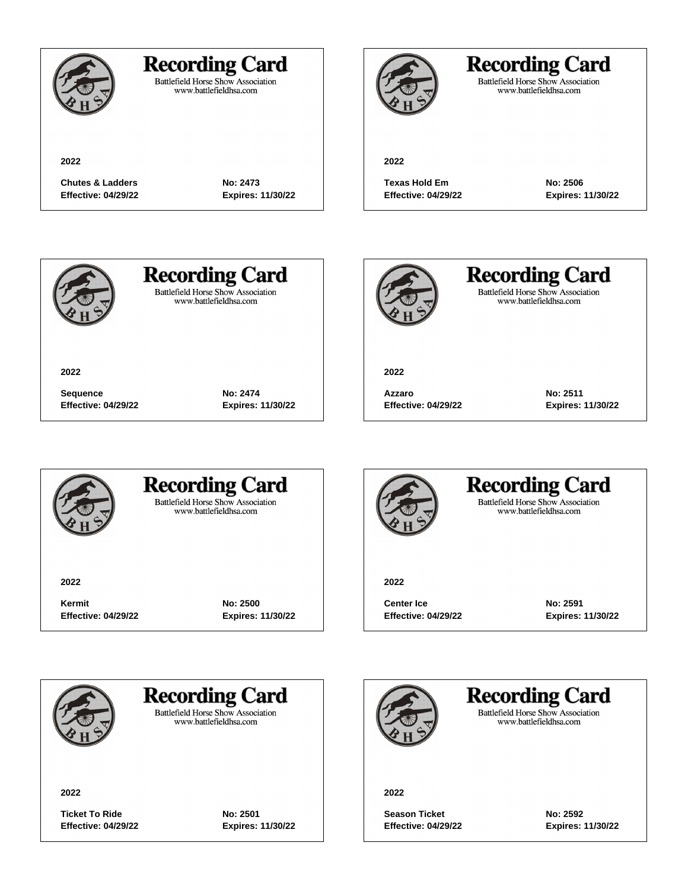

### **Recording Card**

Battlefield Horse Show Association<br>www.battlefieldhsa.com

**Chutes & Ladders No: 2473 Effective: 04/29/22 Expires: 11/30/22**

**Sequence No: 2474 Effective: 04/29/22 Expires: 11/30/22**

**2022**

## **Recording Card**

Battlefield Horse Show Association<br>www.battlefieldhsa.com

**Texas Hold Em No: 2506 Effective: 04/29/22 Expires: 11/30/22**



**2022**

## **Recording Card**

**Battlefield Horse Show Association** www.battlefieldhsa.com



**Recording Card** Battlefield Horse Show Association<br>www.battlefieldhsa.com

**2022**

**Azzaro No: 2511 Effective: 04/29/22 Expires: 11/30/22**



### **Recording Card Battlefield Horse Show Association**

www.battlefieldhsa.com

**2022**

**Kermit No: 2500 Effective: 04/29/22 Expires: 11/30/22**



### **Recording Card Battlefield Horse Show Association** www.battlefieldhsa.com

**2022**

**Center Ice No: 2591 Effective: 04/29/22 Expires: 11/30/22**



**Recording Card** 

**Battlefield Horse Show Association** www.battlefieldhsa.com

**2022**

**Ticket To Ride No: 2501 Effective: 04/29/22 Expires: 11/30/22**

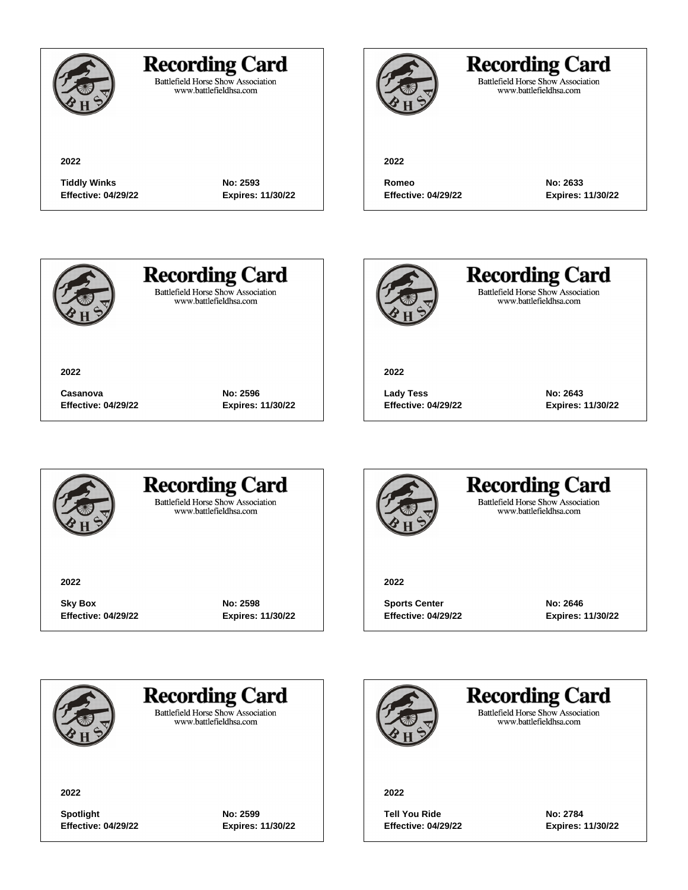

Battlefield Horse Show Association<br>www.battlefieldhsa.com

**2022**

## **Recording Card**

Battlefield Horse Show Association<br>www.battlefieldhsa.com

**2022**

**Tiddly Winks No: 2593 Effective: 04/29/22 Expires: 11/30/22**

**Romeo No: 2633 Effective: 04/29/22 Expires: 11/30/22**



# **Recording Card**

**Battlefield Horse Show Association** www.battlefieldhsa.com



**Recording Card** Battlefield Horse Show Association<br>www.battlefieldhsa.com

**2022**

**Lady Tess No: 2643 Effective: 04/29/22 Expires: 11/30/22**



**Casanova No: 2596 Effective: 04/29/22 Expires: 11/30/22**



### **Recording Card Battlefield Horse Show Association**

www.battlefieldhsa.com

**2022**

**Sky Box No: 2598 Effective: 04/29/22 Expires: 11/30/22**



#### **Recording Card Battlefield Horse Show Association** www.battlefieldhsa.com

**2022**

**Sports Center No: 2646 Effective: 04/29/22 Expires: 11/30/22**



**Recording Card** 

**Battlefield Horse Show Association** www.battlefieldhsa.com

**2022**

**Spotlight No: 2599 Effective: 04/29/22 Expires: 11/30/22**

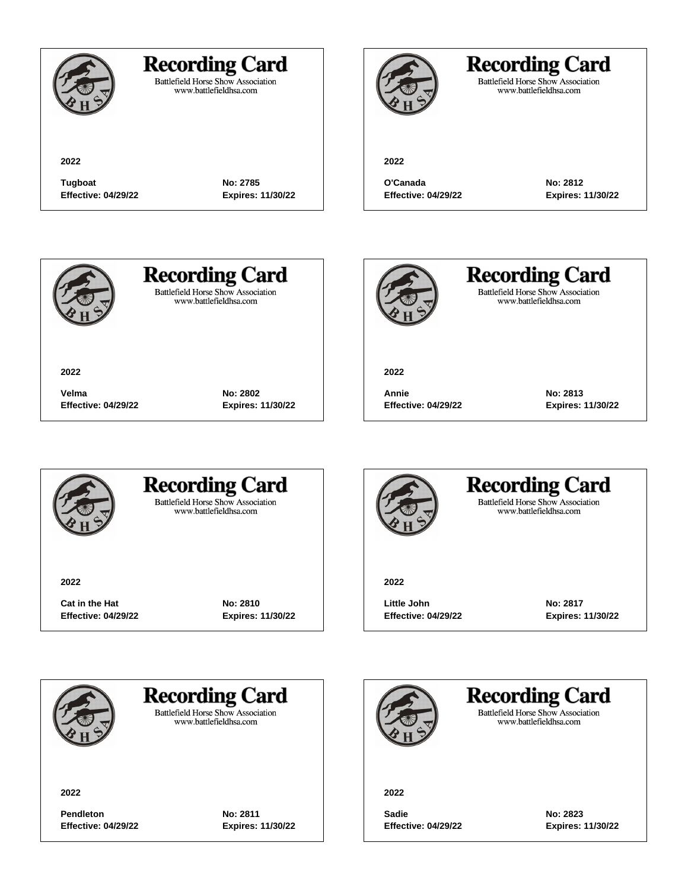

Battlefield Horse Show Association<br>www.battlefieldhsa.com

## **Recording Card**

Battlefield Horse Show Association<br>www.battlefieldhsa.com

**2022**

**Tugboat No: 2785 Effective: 04/29/22 Expires: 11/30/22**

**O'Canada No: 2812**

**2022**

**Effective: 04/29/22 Expires: 11/30/22**



**2022**

**Recording Card** 

**Battlefield Horse Show Association** www.battlefieldhsa.com



**Recording Card** Battlefield Horse Show Association<br>www.battlefieldhsa.com

**2022**

**Annie No: 2813 Effective: 04/29/22 Expires: 11/30/22**



### **Recording Card Battlefield Horse Show Association**

**Velma No: 2802**

**Effective: 04/29/22 Expires: 11/30/22**

www.battlefieldhsa.com

**2022**

**Cat in the Hat No: 2810 Effective: 04/29/22 Expires: 11/30/22**



### **Recording Card Battlefield Horse Show Association** www.battlefieldhsa.com

**2022**

**Little John No: 2817 Effective: 04/29/22 Expires: 11/30/22**



**Recording Card** 

**Battlefield Horse Show Association** www.battlefieldhsa.com

**2022**

**Pendleton No: 2811 Effective: 04/29/22 Expires: 11/30/22**

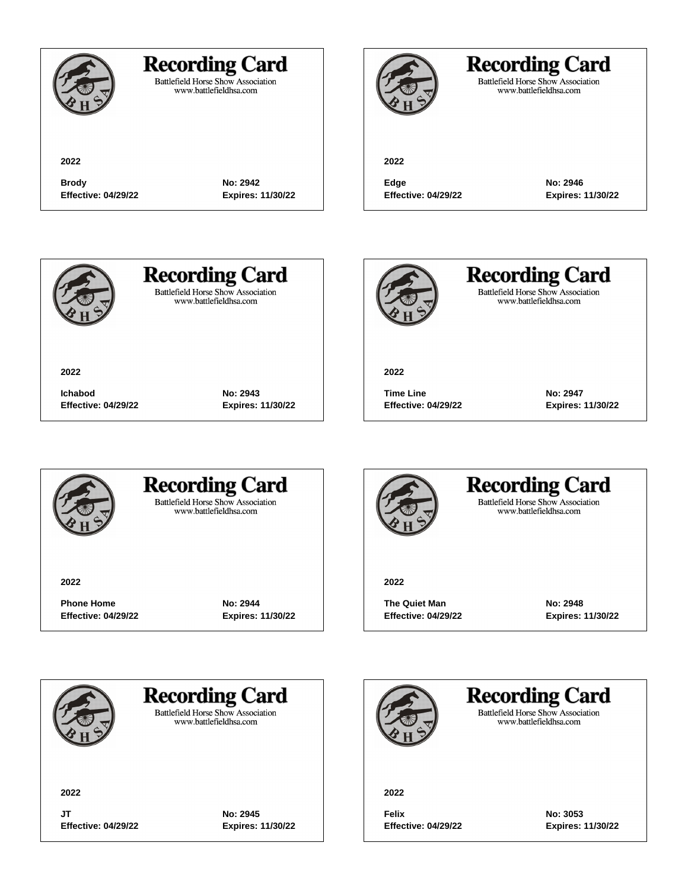Battlefield Horse Show Association<br>www.battlefieldhsa.com

**2022**

## **Recording Card**

Battlefield Horse Show Association<br>www.battlefieldhsa.com

**2022**

**Brody No: 2942 Effective: 04/29/22 Expires: 11/30/22**

**Edge No: 2946**

**Effective: 04/29/22 Expires: 11/30/22**



**2022**

**Recording Card Battlefield Horse Show Association** 

www.battlefieldhsa.com



**Recording Card** Battlefield Horse Show Association<br>www.battlefieldhsa.com

**2022**

**Time Line No: 2947 Effective: 04/29/22 Expires: 11/30/22**



### **Recording Card Battlefield Horse Show Association**

**Ichabod No: 2943**

**Effective: 04/29/22 Expires: 11/30/22**

www.battlefieldhsa.com

**2022**

**Phone Home No: 2944 Effective: 04/29/22 Expires: 11/30/22**



#### **Recording Card Battlefield Horse Show Association** www.battlefieldhsa.com

**2022**

**The Quiet Man No: 2948 Effective: 04/29/22 Expires: 11/30/22**



**Recording Card** 

**Battlefield Horse Show Association** www.battlefieldhsa.com

**2022**

**JT No: 2945 Effective: 04/29/22 Expires: 11/30/22**

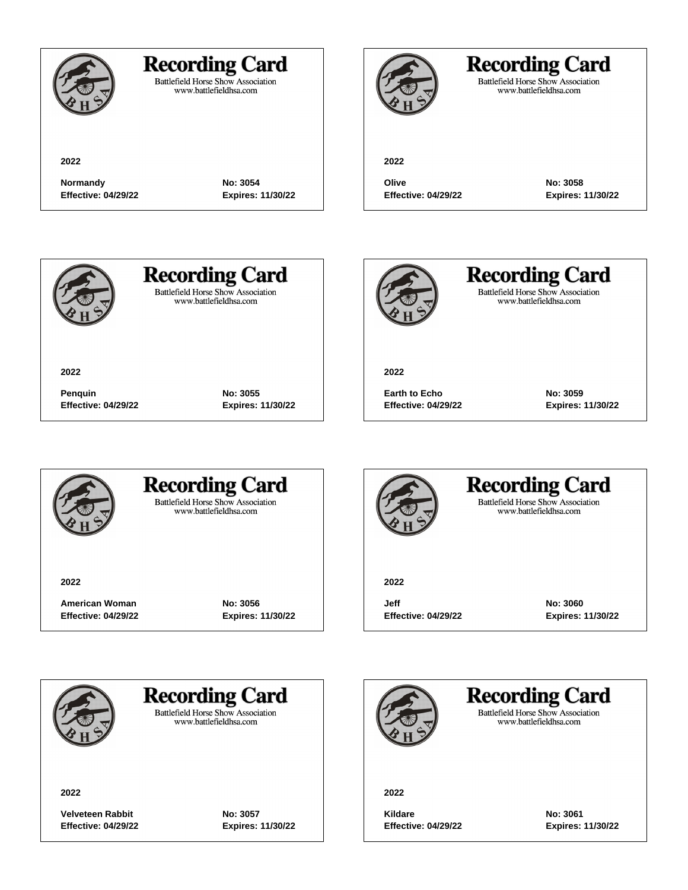

Battlefield Horse Show Association<br>www.battlefieldhsa.com

**2022**

## **Recording Card**

Battlefield Horse Show Association<br>www.battlefieldhsa.com

**2022**

**Normandy No: 3054 Effective: 04/29/22 Expires: 11/30/22**

**Olive No: 3058**

**Effective: 04/29/22 Expires: 11/30/22**



**2022**

# **Recording Card**

**Battlefield Horse Show Association** www.battlefieldhsa.com

**Penquin No: 3055 Effective: 04/29/22 Expires: 11/30/22**



**Recording Card** Battlefield Horse Show Association<br>www.battlefieldhsa.com

**2022**

**Earth to Echo No: 3059 Effective: 04/29/22 Expires: 11/30/22**



### **Recording Card Battlefield Horse Show Association**

www.battlefieldhsa.com

**2022**

**American Woman No: 3056 Effective: 04/29/22 Expires: 11/30/22**



### **Recording Card Battlefield Horse Show Association** www.battlefieldhsa.com

**2022**

**Jeff No: 3060 Effective: 04/29/22 Expires: 11/30/22**



## **Recording Card**

**Battlefield Horse Show Association** www.battlefieldhsa.com

**2022**

**Velveteen Rabbit No: 3057 Effective: 04/29/22 Expires: 11/30/22**

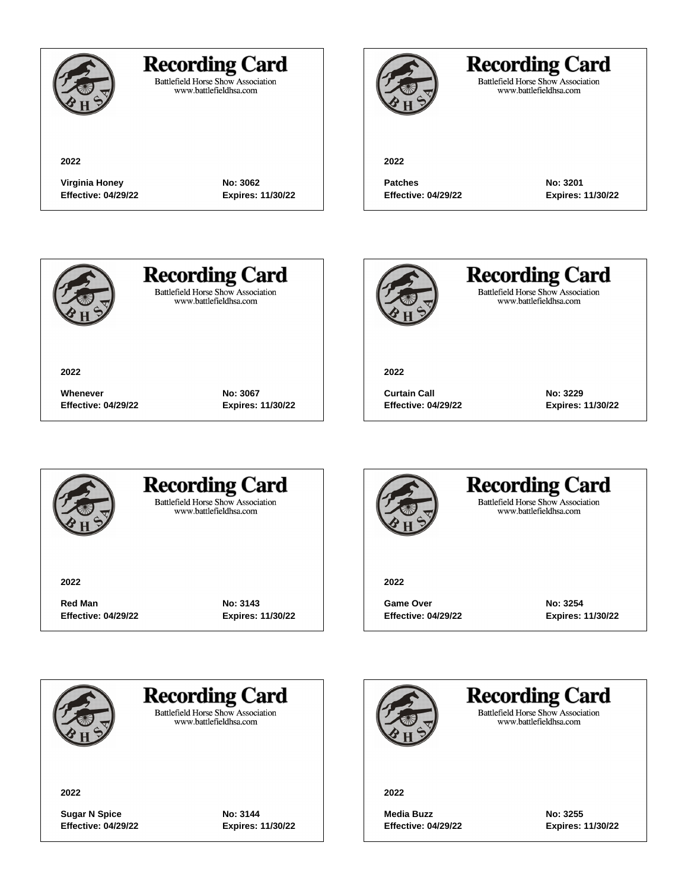

Battlefield Horse Show Association<br>www.battlefieldhsa.com

**2022**

## **Recording Card**

Battlefield Horse Show Association<br>www.battlefieldhsa.com

**2022**

**Virginia Honey No: 3062 Effective: 04/29/22 Expires: 11/30/22**

**Patches No: 3201**

**Effective: 04/29/22 Expires: 11/30/22**



**2022**

**Recording Card Battlefield Horse Show Association** 

www.battlefieldhsa.com



**Recording Card** Battlefield Horse Show Association<br>www.battlefieldhsa.com

**2022**

**Curtain Call No: 3229 Effective: 04/29/22 Expires: 11/30/22**



### **Recording Card Battlefield Horse Show Association**

**Whenever No: 3067**

**Effective: 04/29/22 Expires: 11/30/22**

www.battlefieldhsa.com

**2022**

**Red Man No: 3143 Effective: 04/29/22 Expires: 11/30/22**



#### **Recording Card Battlefield Horse Show Association** www.battlefieldhsa.com

**2022**

**Game Over No: 3254 Effective: 04/29/22 Expires: 11/30/22**



**Recording Card** 

**Battlefield Horse Show Association** www.battlefieldhsa.com

**2022**

**Sugar N Spice No: 3144 Effective: 04/29/22 Expires: 11/30/22**

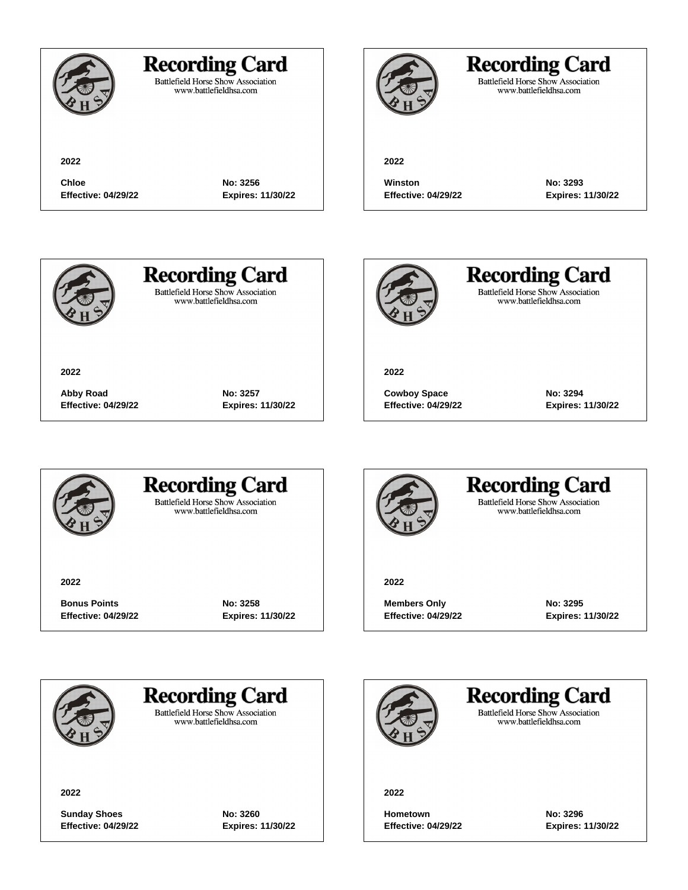### **Recording Card**

**Chloe No: 3256 Effective: 04/29/22 Expires: 11/30/22**

**Abby Road No: 3257 Effective: 04/29/22 Expires: 11/30/22**

Battlefield Horse Show Association<br>www.battlefieldhsa.com

## **Recording Card**

Battlefield Horse Show Association<br>www.battlefieldhsa.com

#### **2022**

**Winston No: 3293 Effective: 04/29/22 Expires: 11/30/22**



**2022**

# **Recording Card**

**Battlefield Horse Show Association** www.battlefieldhsa.com



**Recording Card** Battlefield Horse Show Association<br>www.battlefieldhsa.com

**2022**

**Cowboy Space No: 3294 Effective: 04/29/22 Expires: 11/30/22**



### **Recording Card Battlefield Horse Show Association**

www.battlefieldhsa.com

**2022**

**Bonus Points No: 3258 Effective: 04/29/22 Expires: 11/30/22**



#### **Recording Card Battlefield Horse Show Association** www.battlefieldhsa.com

**2022**

**Members Only 6.1295 Effective: 04/29/22 Expires: 11/30/22**



**Recording Card** 

**Battlefield Horse Show Association** www.battlefieldhsa.com

**2022**

**Sunday Shoes No: 3260 Effective: 04/29/22 Expires: 11/30/22**

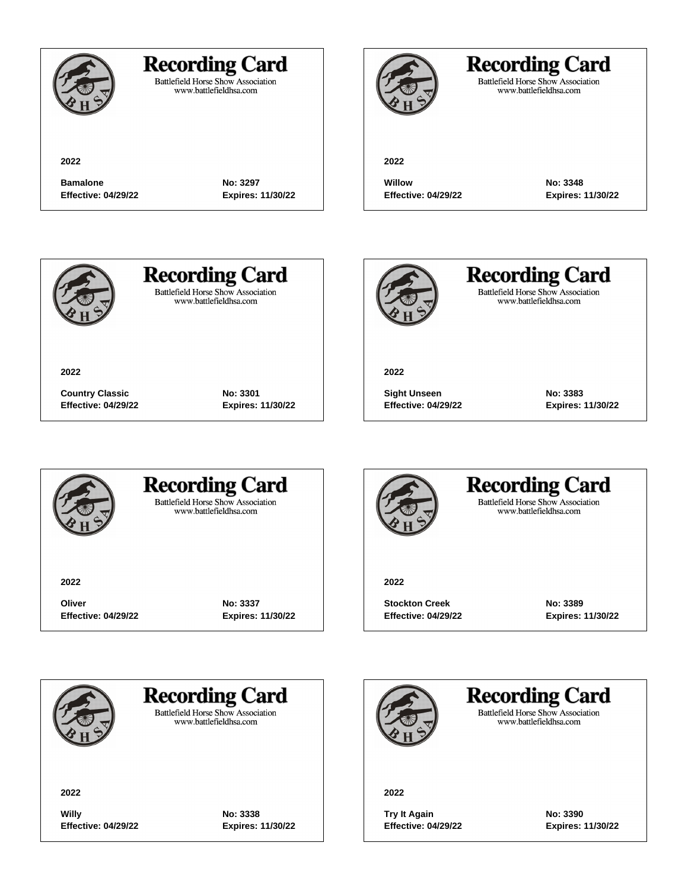

Battlefield Horse Show Association<br>www.battlefieldhsa.com

**2022**

## **Recording Card**

Battlefield Horse Show Association<br>www.battlefieldhsa.com

**2022**

**Bamalone No: 3297 Effective: 04/29/22 Expires: 11/30/22**

**Willow No: 3348**

**Effective: 04/29/22 Expires: 11/30/22**



**2022**

**Recording Card Battlefield Horse Show Association** 

www.battlefieldhsa.com



**Recording Card** Battlefield Horse Show Association<br>www.battlefieldhsa.com

**2022**

**Sight Unseen No: 3383 Effective: 04/29/22 Expires: 11/30/22**



### **Recording Card Battlefield Horse Show Association**

**Country Classic No: 3301 Effective: 04/29/22 Expires: 11/30/22**

www.battlefieldhsa.com

**2022**

**Oliver No: 3337 Effective: 04/29/22 Expires: 11/30/22**



#### **Recording Card Battlefield Horse Show Association** www.battlefieldhsa.com

**2022**

**Stockton Creek No: 3389 Effective: 04/29/22 Expires: 11/30/22**



**Recording Card** 

**Battlefield Horse Show Association** www.battlefieldhsa.com

**2022**

**Willy No: 3338 Effective: 04/29/22 Expires: 11/30/22**

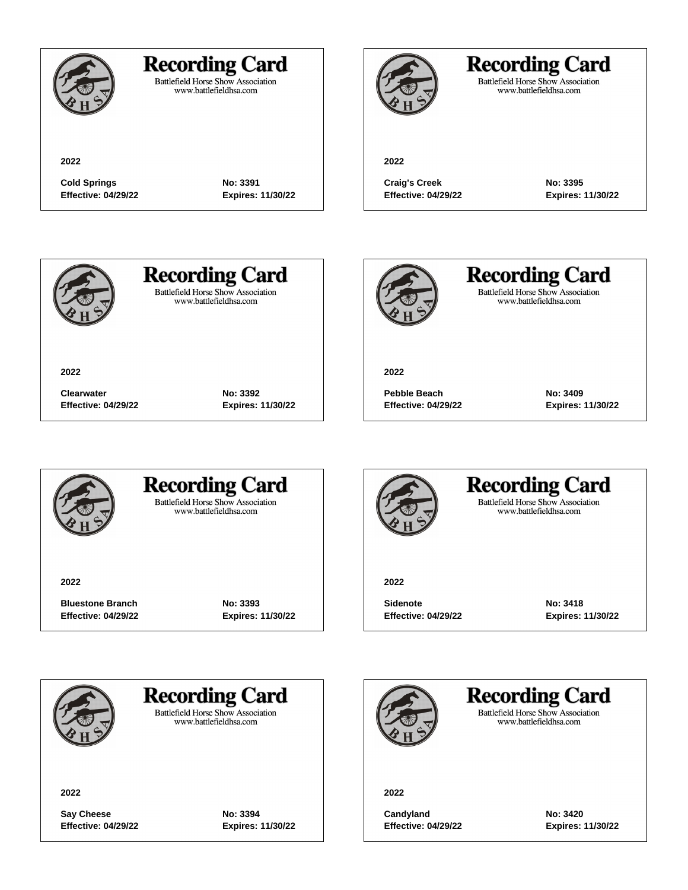

### **Recording Card**

Battlefield Horse Show Association<br>www.battlefieldhsa.com

**2022**

## **Recording Card**

Battlefield Horse Show Association<br>www.battlefieldhsa.com

**Cold Springs No: 3391 Effective: 04/29/22 Expires: 11/30/22**

**Clearwater No: 3392**

**Effective: 04/29/22 Expires: 11/30/22**

**Craig's Creek No: 3395 Effective: 04/29/22 Expires: 11/30/22**



**2022**

## **Recording Card**

**Battlefield Horse Show Association** www.battlefieldhsa.com



**Recording Card** Battlefield Horse Show Association<br>www.battlefieldhsa.com

**2022**

**Pebble Beach No: 3409 Effective: 04/29/22 Expires: 11/30/22**



### **Recording Card Battlefield Horse Show Association**

www.battlefieldhsa.com

**2022**

**Bluestone Branch No: 3393 Effective: 04/29/22 Expires: 11/30/22**



#### **Recording Card Battlefield Horse Show Association** www.battlefieldhsa.com

**2022**

**Sidenote No: 3418 Effective: 04/29/22 Expires: 11/30/22**



### **Recording Card**

**Battlefield Horse Show Association** www.battlefieldhsa.com

**2022**

**Say Cheese No: 3394 Effective: 04/29/22 Expires: 11/30/22**

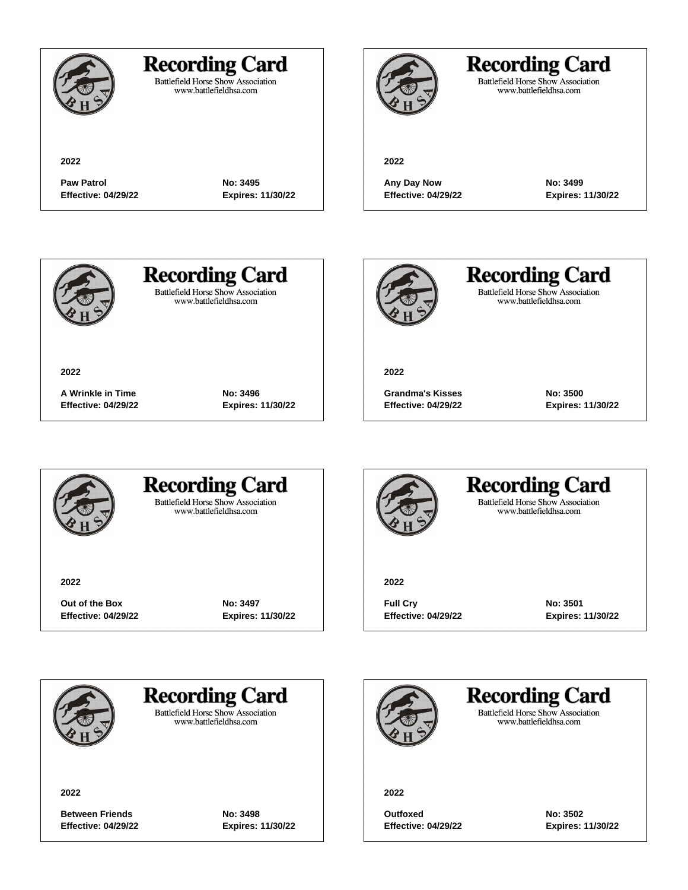

Battlefield Horse Show Association<br>www.battlefieldhsa.com

## **Recording Card**

Battlefield Horse Show Association<br>www.battlefieldhsa.com

**2022**

**Paw Patrol No: 3495 Effective: 04/29/22 Expires: 11/30/22**

**2022**

**Any Day Now No: 3499 Effective: 04/29/22 Expires: 11/30/22**



**2022**

**Recording Card Battlefield Horse Show Association** 

www.battlefieldhsa.com



**Recording Card** Battlefield Horse Show Association<br>www.battlefieldhsa.com

**2022**

**Grandma's Kisses No: 3500 Effective: 04/29/22 Expires: 11/30/22**



### **Recording Card Battlefield Horse Show Association**

**A Wrinkle in Time No: 3496 Effective: 04/29/22 Expires: 11/30/22**

www.battlefieldhsa.com

**2022**

**Out of the Box No: 3497 Effective: 04/29/22 Expires: 11/30/22**



#### **Recording Card Battlefield Horse Show Association** www.battlefieldhsa.com

**2022**

**Full Cry No: 3501 Effective: 04/29/22 Expires: 11/30/22**



**Recording Card** 

**Battlefield Horse Show Association** www.battlefieldhsa.com

**2022**

**Between Friends No: 3498 Effective: 04/29/22 Expires: 11/30/22**

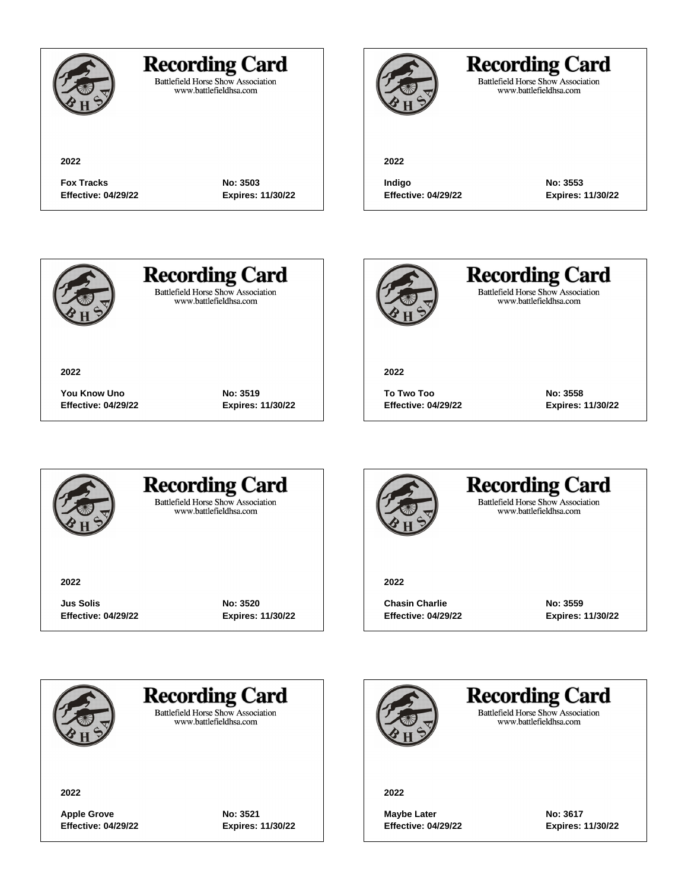

Battlefield Horse Show Association<br>www.battlefieldhsa.com

**2022**

## **Recording Card**

Battlefield Horse Show Association<br>www.battlefieldhsa.com

**2022**

**Fox Tracks No: 3503 Effective: 04/29/22 Expires: 11/30/22**

**Indigo No: 3553**

**Effective: 04/29/22 Expires: 11/30/22**



**2022**

# **Recording Card**

**Battlefield Horse Show Association** www.battlefieldhsa.com

**You Know Uno No: 3519**

**Effective: 04/29/22 Expires: 11/30/22**



**Recording Card** Battlefield Horse Show Association<br>www.battlefieldhsa.com

**2022**

**To Two Too No: 3558 Effective: 04/29/22 Expires: 11/30/22**



### **Recording Card Battlefield Horse Show Association**

www.battlefieldhsa.com

**2022**

**Jus Solis No: 3520 Effective: 04/29/22 Expires: 11/30/22**



### **Recording Card Battlefield Horse Show Association**

www.battlefieldhsa.com

**2022**

**Chasin Charlie No: 3559 Effective: 04/29/22 Expires: 11/30/22**



**Recording Card** 

**Battlefield Horse Show Association** www.battlefieldhsa.com

**2022**

**Apple Grove No: 3521 Effective: 04/29/22 Expires: 11/30/22**

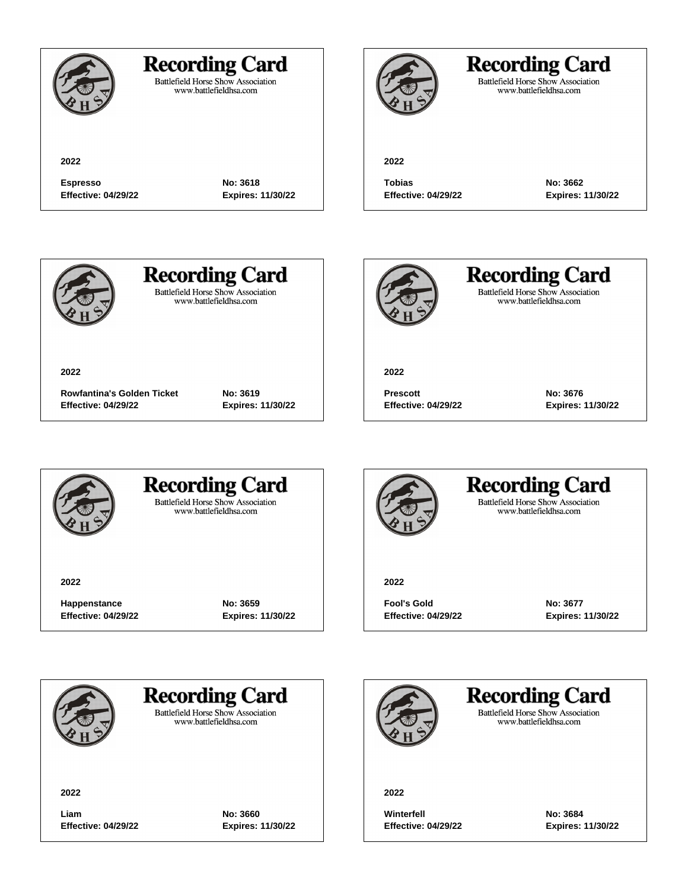

Battlefield Horse Show Association<br>www.battlefieldhsa.com

**2022**

## **Recording Card**

Battlefield Horse Show Association<br>www.battlefieldhsa.com

**2022**

**Espresso No: 3618 Effective: 04/29/22 Expires: 11/30/22**

**Tobias No: 3662 Effective: 04/29/22 Expires: 11/30/22**



# **Recording Card**

**Battlefield Horse Show Association** www.battlefieldhsa.com



**Recording Card** Battlefield Horse Show Association<br>www.battlefieldhsa.com

**2022**

**Prescott No: 3676 Effective: 04/29/22 Expires: 11/30/22**



**Rowfantina's Golden Ticket No: 3619 Effective: 04/29/22 Expires: 11/30/22**



#### **Recording Card Battlefield Horse Show Association**

www.battlefieldhsa.com

**2022**

**Happenstance No: 3659 Effective: 04/29/22 Expires: 11/30/22**



#### **Recording Card Battlefield Horse Show Association** www.battlefieldhsa.com

**2022**

**Fool's Gold No: 3677 Effective: 04/29/22 Expires: 11/30/22**



## **Recording Card**

**Battlefield Horse Show Association** www.battlefieldhsa.com

**2022**

**Liam No: 3660 Effective: 04/29/22 Expires: 11/30/22**

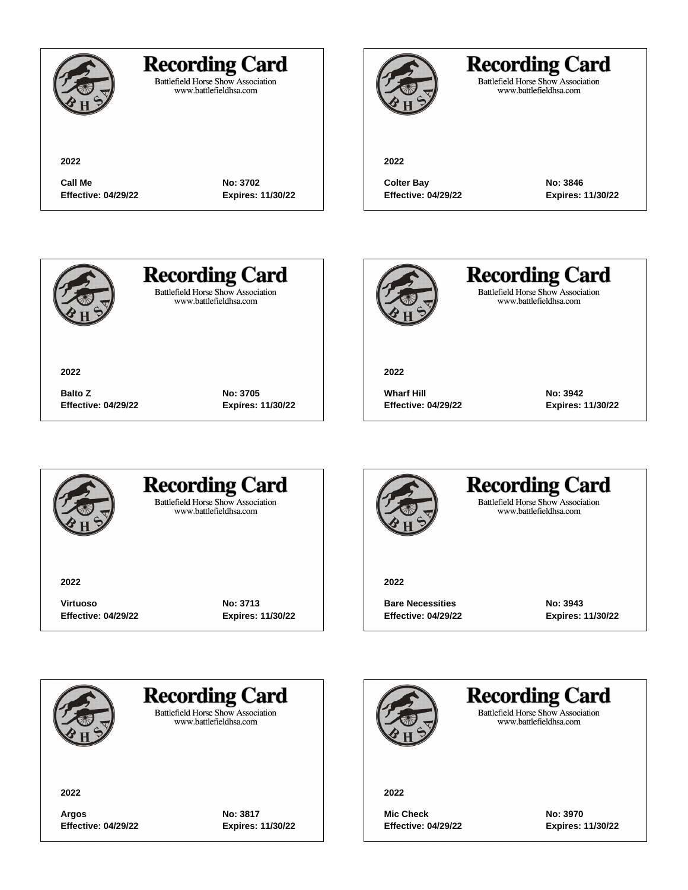### **Recording Card**

Battlefield Horse Show Association<br>www.battlefieldhsa.com

**Call Me No: 3702 Effective: 04/29/22 Expires: 11/30/22**

## **Recording Card**

Battlefield Horse Show Association<br>www.battlefieldhsa.com

#### **2022**

**Colter Bay No: 3846 Effective: 04/29/22 Expires: 11/30/22**



# **Recording Card**

**Battlefield Horse Show Association** www.battlefieldhsa.com



**Recording Card** Battlefield Horse Show Association<br>www.battlefieldhsa.com

**2022**

**Wharf Hill No: 3942 Effective: 04/29/22 Expires: 11/30/22**



**Balto Z No: 3705 Effective: 04/29/22 Expires: 11/30/22**



### **Recording Card Battlefield Horse Show Association**

www.battlefieldhsa.com

**2022**

**Virtuoso No: 3713 Effective: 04/29/22 Expires: 11/30/22**



#### **Recording Card Battlefield Horse Show Association** www.battlefieldhsa.com

**2022**

**Bare Necessities No: 3943 Effective: 04/29/22 Expires: 11/30/22**



**Recording Card** 

**Battlefield Horse Show Association** www.battlefieldhsa.com

**2022**

**Argos No: 3817 Effective: 04/29/22 Expires: 11/30/22**